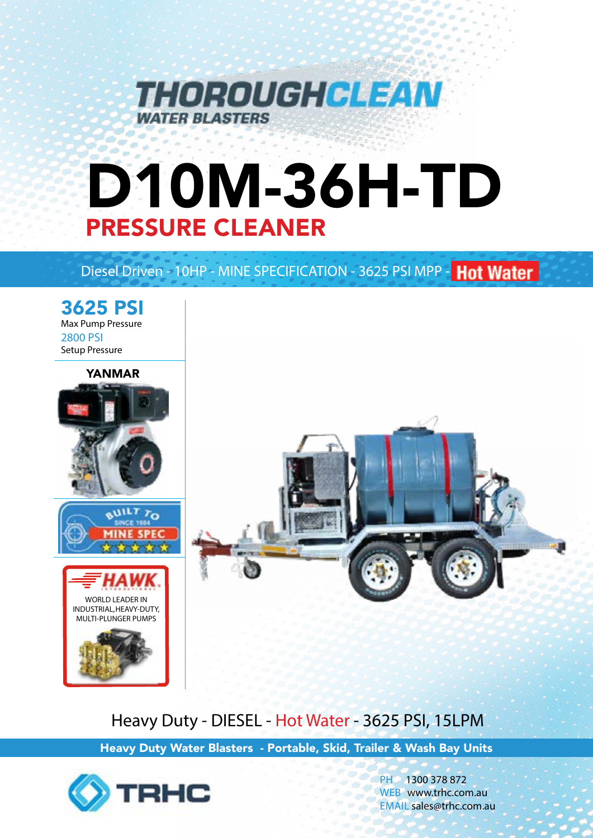

# D10M-36H-TD PRESSURE CLEANER

# Diesel Driven - 10HP - MINE SPECIFICATION - 3625 PSI MPP - Hot Water



Heavy Duty - DIESEL - Hot Water - 3625 PSI, 15LPM

Heavy Duty Water Blasters - Portable, Skid, Trailer & Wash Bay Units



PH 1300 378 872 WEB www.trhc.com.au EMAIL sales@trhc.com.au